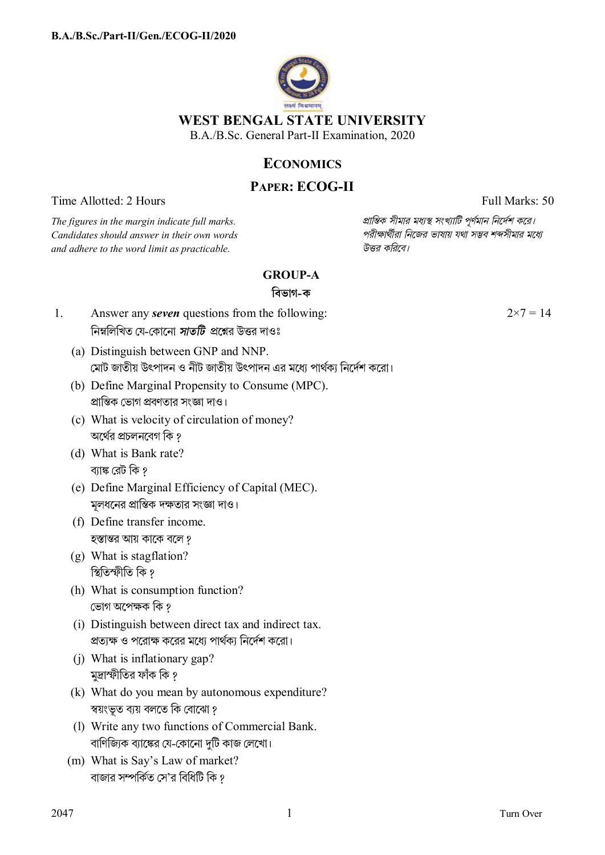

# **ECONOMICS**

# **PAPER: ECOG-II**

Time Allotted: 2 Hours Full Marks: 50

 $C$ *andidates should answer in their own words and adhere to the word limit as practicable. উtর কিরেব।*

*The figures in the margin indicate full marks. pািnক সীমার মধ°s সংখ°ািট পূণমান িনেদশ কের।*

## **GROUP-A**

### **িবভাগ-ক**

- 1. Answer any *seven* questions from the following: নিম্নলিখিত যে-কোনো *সাতটি প্র*শ্নের উত্তর দাওঃ
	- (a) Distinguish between GNP and NNP. েমাট জাতীয় উৎপাদন ও নীট জাতীয় উৎপাদন এর মেধ° পাথক° িনেদশ কেরা।
	- (b) Define Marginal Propensity to Consume (MPC). প্রান্তিক ভোগ প্রবণতার সংজ্ঞা দাও।
	- (c) What is velocity of circulation of money? অর্থের প্রচলনবেগ কি ?
	- (d) What is Bank rate? ব্যাঙ্ক রেট কি ?
	- (e) Define Marginal Efficiency of Capital (MEC). মূলধনের প্রান্তিক দক্ষতার সংজ্ঞা দাও।
	- (f) Define transfer income. হস্তান্তর আয় কাকে বলে ?
	- (g) What is stagflation? প্থিতিস্ফীতি কি ?
	- (h) What is consumption function? ভোগ অপেক্ষক কি ?
	- (i) Distinguish between direct tax and indirect tax. প্রত্যক্ষ ও পরোক্ষ করের মধ্যে পার্থক্য নির্দেশ করো।
	- (j) What is inflationary gap? মুদ্রাস্ফীতির ফাঁক কি ?
	- (k) What do you mean by autonomous expenditure? স্বয়ংভূত ব্যয় বলতে কি বোঝো ?
	- (l) Write any two functions of Commercial Bank. বাণিজিকে ব্যাঙ্কের যে-কোনো দটি কাজ লেখো।
	- (m) What is Say's Law of market? বাজার সম্পর্কিত সে'র বিধিটি কি ?

 $2 \times 7 = 14$